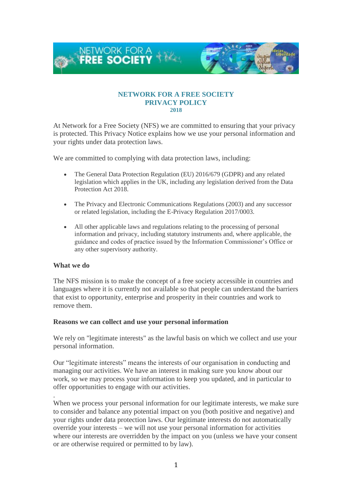

#### **NETWORK FOR A FREE SOCIETY PRIVACY POLICY 2018**

At Network for a Free Society (NFS) we are committed to ensuring that your privacy is protected. This Privacy Notice explains how we use your personal information and your rights under data protection laws.

We are committed to complying with data protection laws, including:

- The General Data Protection Regulation (EU) 2016/679 (GDPR) and any related legislation which applies in the UK, including any legislation derived from the Data Protection Act 2018.
- The Privacy and Electronic Communications Regulations (2003) and any successor or related legislation, including the E-Privacy Regulation 2017/0003.
- All other applicable laws and regulations relating to the processing of personal information and privacy, including statutory instruments and, where applicable, the guidance and codes of practice issued by the Information Commissioner's Office or any other supervisory authority.

## **What we do**

.

The NFS mission is to make the concept of a free society accessible in countries and languages where it is currently not available so that people can understand the barriers that exist to opportunity, enterprise and prosperity in their countries and work to remove them.

## **Reasons we can collect and use your personal information**

We rely on "legitimate interests" as the lawful basis on which we collect and use your personal information.

Our "legitimate interests" means the interests of our organisation in conducting and managing our activities. We have an interest in making sure you know about our work, so we may process your information to keep you updated, and in particular to offer opportunities to engage with our activities.

When we process your personal information for our legitimate interests, we make sure to consider and balance any potential impact on you (both positive and negative) and your rights under data protection laws. Our legitimate interests do not automatically override your interests – we will not use your personal information for activities where our interests are overridden by the impact on you (unless we have your consent or are otherwise required or permitted to by law).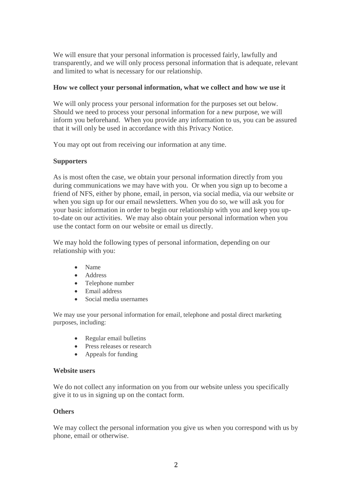We will ensure that your personal information is processed fairly, lawfully and transparently, and we will only process personal information that is adequate, relevant and limited to what is necessary for our relationship.

## **How we collect your personal information, what we collect and how we use it**

We will only process your personal information for the purposes set out below. Should we need to process your personal information for a new purpose, we will inform you beforehand. When you provide any information to us, you can be assured that it will only be used in accordance with this Privacy Notice.

You may opt out from receiving our information at any time.

## **Supporters**

As is most often the case, we obtain your personal information directly from you during communications we may have with you. Or when you sign up to become a friend of NFS, either by phone, email, in person, via social media, via our website or when you sign up for our email newsletters. When you do so, we will ask you for your basic information in order to begin our relationship with you and keep you upto-date on our activities. We may also obtain your personal information when you use the contact form on our website or email us directly.

We may hold the following types of personal information, depending on our relationship with you:

- Name
- Address
- Telephone number
- Email address
- Social media usernames

We may use your personal information for email, telephone and postal direct marketing purposes, including:

- Regular email bulletins
- Press releases or research
- Appeals for funding

## **Website users**

We do not collect any information on you from our website unless you specifically give it to us in signing up on the contact form.

## **Others**

We may collect the personal information you give us when you correspond with us by phone, email or otherwise.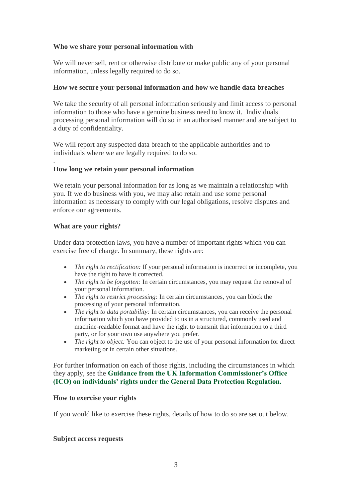# **Who we share your personal information with**

We will never sell, rent or otherwise distribute or make public any of your personal information, unless legally required to do so.

## **How we secure your personal information and how we handle data breaches**

We take the security of all personal information seriously and limit access to personal information to those who have a genuine business need to know it. Individuals processing personal information will do so in an authorised manner and are subject to a duty of confidentiality.

We will report any suspected data breach to the applicable authorities and to individuals where we are legally required to do so.

#### . **How long we retain your personal information**

We retain your personal information for as long as we maintain a relationship with you. If we do business with you, we may also retain and use some personal information as necessary to comply with our legal obligations, resolve disputes and enforce our agreements.

## **What are your rights?**

Under data protection laws, you have a number of important rights which you can exercise free of charge. In summary, these rights are:

- *The right to rectification:* If your personal information is incorrect or incomplete, you have the right to have it corrected.
- *The right to be forgotten:* In certain circumstances, you may request the removal of your personal information.
- *The right to restrict processing:* In certain circumstances, you can block the processing of your personal information.
- *The right to data portability:* In certain circumstances, you can receive the personal information which you have provided to us in a structured, commonly used and machine-readable format and have the right to transmit that information to a third party, or for your own use anywhere you prefer.
- *The right to object:* You can object to the use of your personal information for direct marketing or in certain other situations.

For further information on each of those rights, including the circumstances in which they apply, see the **[Guidance from the UK Information Commissioner's Office](https://ico.org.uk/for-organisations/guide-to-the-general-data-protection-regulation-gdpr/individual-rights/)  [\(ICO\) on individuals' rights under the General Data Protection Regulation.](https://ico.org.uk/for-organisations/guide-to-the-general-data-protection-regulation-gdpr/individual-rights/)**

## **How to exercise your rights**

If you would like to exercise these rights, details of how to do so are set out below.

## **Subject access requests**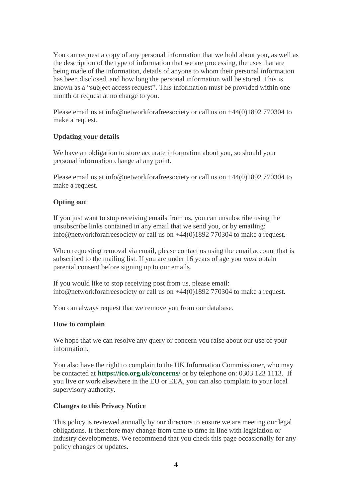You can request a copy of any personal information that we hold about you, as well as the description of the type of information that we are processing, the uses that are being made of the information, details of anyone to whom their personal information has been disclosed, and how long the personal information will be stored. This is known as a "subject access request". This information must be provided within one month of request at no charge to you.

Please email us at info@networkforafreesociety or call us on  $+44(0)1892770304$  to make a request.

## **Updating your details**

We have an obligation to store accurate information about you, so should your personal information change at any point.

Please email us at info@networkforafreesociety or call us on +44(0)1892 770304 to make a request.

## **Opting out**

If you just want to stop receiving emails from us, you can unsubscribe using the unsubscribe links contained in any email that we send you, or by emailing: info@networkforafreesociety or call us on +44(0)1892 770304 to make a request.

When requesting removal via email, please contact us using the email account that is subscribed to the mailing list. If you are under 16 years of age you *must* obtain parental consent before signing up to our emails.

If you would like to stop receiving post from us, please email: info@networkforafreesociety or call us on +44(0)1892 770304 to make a request.

You can always request that we remove you from our database.

## **How to complain**

We hope that we can resolve any query or concern you raise about our use of your information.

You also have the right to complain to the UK Information Commissioner, who may be contacted at **<https://ico.org.uk/concerns/>** or by telephone on: 0303 123 1113. If you live or work elsewhere in the EU or EEA, you can also complain to your local supervisory authority.

# **Changes to this Privacy Notice**

This policy is reviewed annually by our directors to ensure we are meeting our legal obligations. It therefore may change from time to time in line with legislation or industry developments. We recommend that you check this page occasionally for any policy changes or updates.